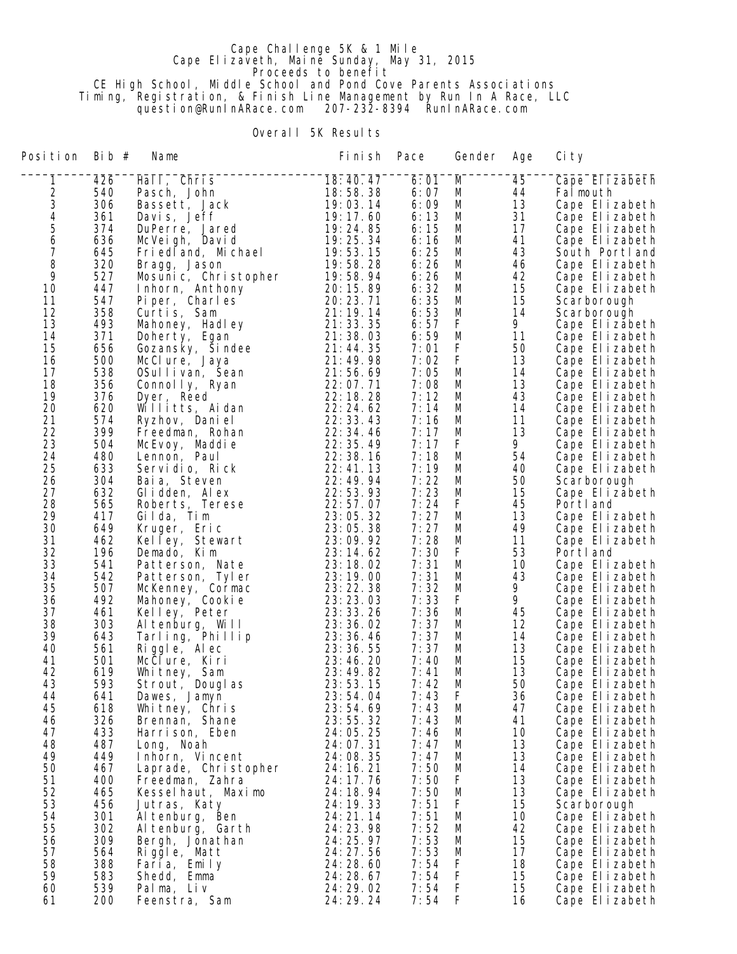## Cape Challenge 5K & 1 Mile Cape Elizaveth, Maine Sunday, May 31, 2015 **Proceeds to benefit**  CE High School, Middle School and Pond Cove Parents Associations Timing, Registration, & Finish Line Management by Run In A Race, LLC question@RunInARace.com 207-232-8394 RunInARace.com

## Overall 5K Results

| Position<br>Bib $#$<br>Fi ni sh<br>Pace<br>Name<br>Gender                                                           | Age      | Ci ty                            |
|---------------------------------------------------------------------------------------------------------------------|----------|----------------------------------|
| 18:40.47<br>1<br>426<br>Hall, Chris<br>6:01<br>M                                                                    | 45       | Cape Elizabeth                   |
| $\frac{2}{3}$<br>540<br>18:58.38<br>6:07<br>Pasch, John<br>M                                                        | 44       | Falmouth                         |
| 306<br>19:03.14<br>6:09<br>M<br>Bassett, Jack                                                                       | 13       | Cape Elizabeth                   |
| $\begin{array}{c} 4 \\ 5 \\ 6 \end{array}$<br>361<br>19:17.60<br>6:13<br>Davis, Jeff<br>M                           | 31       | Cape Elizabeth                   |
| 374<br>6:15<br>19:24.85<br>M<br>DuPerre, Jared                                                                      | 17       | Cape Elizabeth                   |
| 636<br>19:25.34<br>M<br>6:16<br>McVeigh, David<br>7<br>645<br>Fried and, Michael<br>19:53.15<br>6:25<br>M           | 41<br>43 | Cape Elizabeth<br>South Portland |
| 8<br>320<br>19:58.28<br>6:26<br>M<br>Bragg, Jason                                                                   | 46       | Cape Elizabeth                   |
| 9<br>527<br>19:58.94<br>6:26<br>Mosunic, Christopher<br>M                                                           | 42       | Cape Elizabeth                   |
| 10<br>447<br>Inhorn, Anthony<br>20:15.89<br>6:32<br>M                                                               | 15       | Cape Elizabeth                   |
| 11<br>547<br>20: 23. 71<br>6:35<br>M<br>Piper, Charles                                                              | 15       | Scarborough                      |
| 12<br>358<br>21:19.14<br>6:53<br>M<br>Curtis, Sam                                                                   | 14       | Scarborough                      |
| 13<br>493<br>21:33.35<br>6:57<br>F<br>Mahoney, Hadley                                                               | 9        | Cape Elizabeth                   |
| 14<br>371<br>6:59<br>21:38.03<br>M<br>Doherty, Egan                                                                 | 11       | Cape Elizabeth                   |
| 15<br>F<br>656<br>7:01<br>21:44.35<br>Gozansky, Sindee                                                              | 50       | Cape Elizabeth                   |
| 16<br>500<br>F<br>21:49.98<br>7:02<br>McClure, Jaya                                                                 | 13       | Cape Elizabeth                   |
| 538<br>17<br>21:56.69<br>7:05<br>M<br>OSullivan, Sean<br>18<br>7:08                                                 | 14<br>13 | Cape Elizabeth                   |
| 356<br>22:07.71<br>M<br>Connolly, Ryan<br>376<br>22:18.28<br>7:12<br>19<br>Dyer, Reed<br>M                          | 43       | Cape Elizabeth<br>Cape Elizabeth |
| 20<br>620<br>7:14<br>Willitts, Aidan<br>22:24.62<br>M                                                               | 14       | Cape Elizabeth                   |
| 21<br>574<br>7:16<br>22:33.43<br>M<br>Ryzhov, Daniel                                                                | 11       | Cape Elizabeth                   |
| 22<br>399<br>22:34.46<br>7:17<br>Freedman, Rohan<br>M                                                               | 13       | Cape Elizabeth                   |
| 23<br>504<br>7:17<br>F<br>22: 35. 49<br>McEvoy, Maddie                                                              | 9        | Cape Elizabeth                   |
| 24<br>480<br>7:18<br>M<br>22:38.16<br>Lennon, Paul                                                                  | 54       | Cape Elizabeth                   |
| 25<br>633<br>7:19<br>22:41.13<br>Servidio, Rick<br>M                                                                | 40       | Cape Elizabeth                   |
| 26<br>304<br>7:22<br>22: 49. 94<br>M<br>Baia, Steven                                                                | 50       | Scarborough                      |
| 27<br>7:23<br>632<br>22:53.93<br>M<br>Glidden, Alex                                                                 | 15       | Cape Elizabeth                   |
| 28<br>565<br>22:57.07<br>7:24<br>F<br>Roberts, Terese                                                               | 45       | Portl and                        |
| 29<br>417<br>7:27<br>Gilda, Tim<br>23:05.32<br>M<br>30<br>7:27<br>649<br>23:05.38<br>M<br>Kruger, Eric              | 13<br>49 | Cape Elizabeth<br>Cape Elizabeth |
| 31<br>462<br>7:28<br>23:09.92<br>M<br>Kelley, Stewart                                                               | 11       | Cape Elizabeth                   |
| 32<br>196<br>F<br>23:14.62<br>7:30<br>Demado, Kim                                                                   | 53       | Portl and                        |
| 33<br>541<br>23:18.02<br>7:31<br>M<br>Patterson, Nate                                                               | 10       | Cape Elizabeth                   |
| 34<br>542<br>7:31<br>23:19.00<br>M<br>Patterson, Tyler                                                              | 43       | Cape Elizabeth                   |
| 35<br>507<br>7:32<br>23: 22. 38<br>M<br>McKenney, Cormac                                                            | 9.       | Cape Elizabeth                   |
| F<br>36<br>492<br>23:23.03<br>7:33<br>Mahoney, Cookie                                                               | 9        | Cape Elizabeth                   |
| 37<br>461<br>7:36<br>23: 33. 26<br>M<br>Kelley, Peter                                                               | 45       | Cape Elizabeth                   |
| 38<br>303<br>7:37<br>23: 36. 02<br>Altenburg, Will<br>M<br>643<br>23:36.46<br>7:37                                  | 12       | Cape Elizabeth                   |
| 39<br>Tarling, Phillip<br>M<br>561<br>7:37<br>40<br>23: 36. 55<br>Riggle, Alec<br>M                                 | 14<br>13 | Cape Elizabeth<br>Cape Elizabeth |
| 501<br>41<br>23:46.20<br>7:40<br>McClure, Kiri<br>M                                                                 | 15       | Cape Elizabeth                   |
| 42<br>619<br>23:49.82<br>7:41<br>M<br>Whitney, Sam                                                                  | 13       | Cape Elizabeth                   |
| 43<br>593<br>Strout, Douglas<br>23:53.15<br>7:42<br>M                                                               | 50       | Cape Elizabeth                   |
| 44<br>641<br>23:54.04<br>7:43<br>F<br>Dawes, Jamyn                                                                  | 36       | Cape Elizabeth                   |
| 45<br>618<br>23:54.69<br>7:43<br>Whitney, Chris<br>M                                                                | 47       | Cape Elizabeth                   |
| 46<br>326<br>Brennan, Shane<br>23:55.32<br>7:43<br>M                                                                | 41       | Cape Elizabeth                   |
| 47<br>433<br>Harrison, Eben<br>24:05.25<br>7:46<br>M                                                                | 10       | Cape Elizabeth                   |
| 48<br>487<br>24:07.31<br>7:47<br>Long, Noah<br>M                                                                    | 13       | Cape Elizabeth                   |
| 49<br>449<br>24:08.35<br>7:47<br>Inhorn, Vincent<br>M<br>50<br>467<br>24:16.21<br>7:50<br>Laprade, Christopher<br>M | 13<br>14 | Cape Elizabeth<br>Cape Elizabeth |
| 51<br>24: 17. 76<br>7:50<br>400<br>Freedman, Zahra<br>F.                                                            | 13       | Cape Elizabeth                   |
| 52<br>7:50<br>465<br>Kesselhaut, Maximo<br>24: 18. 94<br>M                                                          | 13       | Cape Elizabeth                   |
| 53<br>456<br>7:51<br>F.<br>24: 19. 33<br>Jutras, Katy                                                               | 15       | Scarborough                      |
| 54<br>301<br>24:21.14<br>7:51<br>M<br>Al tenburg, Ben                                                               | 10       | Cape Elizabeth                   |
| 55<br>7:52<br>302<br>24: 23. 98<br>Al tenburg, Garth<br>M                                                           | 42       | Cape Elizabeth                   |
| 56<br>309<br>24: 25. 97<br>7:53<br>M<br>Bergh, Jonathan                                                             | 15       | Cape Elizabeth                   |
| 57<br>7:53<br>564<br>24: 27. 56<br>Riggle, Matt<br>M                                                                | 17       | Cape Elizabeth                   |
| 58<br>F<br>388<br>24:28.60<br>7:54<br>Faria, Emily                                                                  | 18       | Cape Elizabeth                   |
| F<br>59<br>583<br>24:28.67<br>7:54<br>Shedd, Emma<br>539<br>24:29.02<br>F<br>60<br>7:54<br>Palma, Liv               | 15<br>15 | Cape Elizabeth<br>Cape Elizabeth |
| F<br>24: 29. 24<br>7:54<br>61<br>200<br>Feenstra, Sam                                                               | 16       | Cape Elizabeth                   |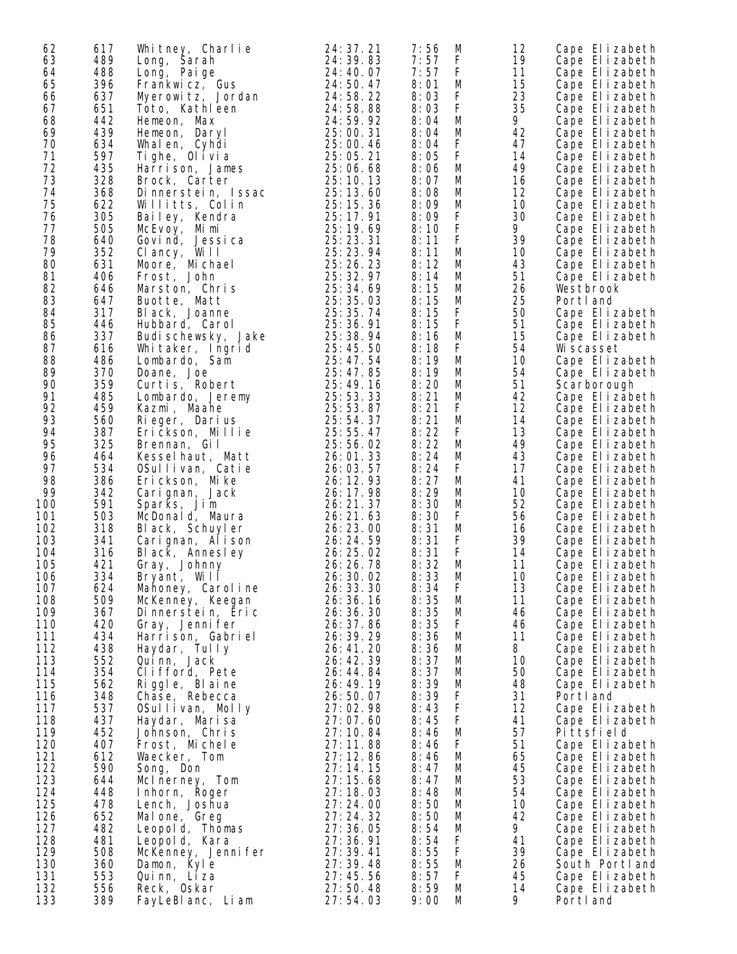| 62  | 617 | Whitney, Charlie    | 24: 37. 21 | 7:56<br>M  | 12 | Cape Elizabeth |
|-----|-----|---------------------|------------|------------|----|----------------|
| 63  | 489 | Long, Sarah         | 24: 39. 83 | 7:57<br>F  | 19 | Cape Elizabeth |
| 64  | 488 | Long, Paige         | 24: 40. 07 | 7:57<br>F  | 11 | Cape Elizabeth |
| 65  | 396 | Frankwicz, Gus      | 24:50.47   | 8:01<br>M  | 15 | Cape Elizabeth |
| 66  | 637 | Myerowitz, Jordan   | 24:58.22   | 8:03<br>F  | 23 | Cape Elizabeth |
| 67  | 651 | Toto, Kathleen      | 24:58.88   | F<br>8:03  | 35 | Cape Elizabeth |
| 68  | 442 | Hemeon, Max         | 24:59.92   | 8:04<br>M  | 9. | Cape Elizabeth |
| 69  | 439 |                     | 25:00.31   | 8:04       |    |                |
|     |     | Hemeon, Daryl       |            | M          | 42 | Cape Elizabeth |
| 70  | 634 | Whalen, Cyhdi       | 25:00.46   | 8:04<br>F  | 47 | Cape Elizabeth |
| 71  | 597 | Tighe, Olivia       | 25:05.21   | 8:05<br>F  | 14 | Cape Elizabeth |
| 72  | 435 | Harrison, James     | 25:06.68   | 8:06<br>M  | 49 | Cape Elizabeth |
| 73  | 328 | Brock, Carter       | 25:10.13   | 8:07<br>M  | 16 | Cape Elizabeth |
| 74  | 368 | Dinnerstein, Issac  | 25:13.60   | 8:08<br>M  | 12 | Cape Elizabeth |
| 75  | 622 | Willitts, Colin     | 25: 15. 36 | 8:09<br>M  | 10 | Cape Elizabeth |
| 76  | 305 | Bailey, Kendra      | 25:17.91   | 8:09<br>F  | 30 | Cape Elizabeth |
| 77  | 505 | McEvoy, Mimi        | 25: 19. 69 | F<br>8:10  | 9  | Cape Elizabeth |
| 78  | 640 | Govind, Jessica     | 25: 23. 31 | F<br>8:11  | 39 | Cape Elizabeth |
| 79  | 352 | Clancy, Will        | 25: 23. 94 | 8:11<br>M  | 10 | Cape Elizabeth |
| 80  | 631 | Moore, Michael      | 25:26.23   | 8:12<br>M  | 43 | Cape Elizabeth |
| 81  | 406 | Frost, John         | 25:32.97   | 8:14<br>M  | 51 | Cape Elizabeth |
| 82  | 646 | Marston, Chris      | 25: 34. 69 | 8:15<br>M  | 26 | Westbrook      |
| 83  | 647 | Buotte, Matt        | 25:35.03   | 8:15<br>M  | 25 | Portl and      |
| 84  | 317 | Black, Joanne       | 25: 35. 74 | F<br>8:15  | 50 | Cape Elizabeth |
| 85  | 446 | Hubbard, Carol      | 25: 36. 91 | F<br>8:15  | 51 | Cape Elizabeth |
| 86  | 337 | Budi schewsky, Jake | 25:38.94   | M<br>8:16  | 15 | Cape Elizabeth |
| 87  | 616 | Whitaker, Ingrid    | 25:45.50   | 8:18<br>F. | 54 | Wi scasset     |
| 88  | 486 |                     | 25:47.54   | 8:19<br>M  | 10 | Cape Elizabeth |
| 89  | 370 | Lombardo, Sam       |            | 8:19       | 54 |                |
|     |     | Doane, Joe          | 25: 47.85  | M          |    | Cape Elizabeth |
| 90  | 359 | Curtis, Robert      | 25:49.16   | 8:20<br>M  | 51 | Scarborough    |
| 91  | 485 | Lombardo, Jeremy    | 25:53.33   | 8:21<br>M  | 42 | Cape Elizabeth |
| 92  | 459 | Kazmi, Maahe        | 25:53.87   | 8:21<br>F  | 12 | Cape Elizabeth |
| 93  | 560 | Rieger, Darius      | 25:54.37   | 8:21<br>M  | 14 | Cape Elizabeth |
| 94  | 387 | Erickson, Millie    | 25:55.47   | 8:22<br>F  | 13 | Cape Elizabeth |
| 95  | 325 | Brennan, Gil        | 25:56.02   | 8:22<br>M  | 49 | Cape Elizabeth |
| 96  | 464 | Kesselhaut, Matt    | 26:01.33   | 8:24<br>M  | 43 | Cape Elizabeth |
| 97  | 534 | OSullivan, Catie    | 26:03.57   | 8:24<br>F  | 17 | Cape Elizabeth |
| 98  | 386 | Erickson, Mike      | 26: 12. 93 | 8:27<br>M  | 41 | Cape Elizabeth |
| 99  | 342 | Carignan, Jack      | 26: 17. 98 | 8:29<br>M  | 10 | Cape Elizabeth |
| 100 | 591 | Sparks, Jim         | 26: 21. 37 | 8:30<br>M  | 52 | Cape Elizabeth |
| 101 | 503 | McDonald, Maura     | 26:21.63   | 8:30<br>F  | 56 | Cape Elizabeth |
| 102 | 318 | Black, Schuyler     | 26: 23.00  | 8:31<br>M  | 16 | Cape Elizabeth |
| 103 | 341 | Carignan, Alison    | 26: 24. 59 | 8:31<br>F  | 39 | Cape Elizabeth |
| 104 | 316 | Black, Annesley     | 26: 25. 02 | F<br>8:31  | 14 | Cape Elizabeth |
| 105 | 421 | Gray, Johnny        | 26: 26. 78 | 8:32<br>M  | 11 | Cape Elizabeth |
| 106 | 334 | Bryant, Will        | 26: 30. 02 | 8:33<br>M  | 10 | Cape Elizabeth |
| 107 | 624 | Mahoney, Caroline   | 26: 33. 30 | F<br>8:34  | 13 | Cape Elizabeth |
| 108 | 509 | McKenney, Keegan    | 26: 36. 16 | 8:35<br>M  | 11 | Cape Elizabeth |
| 109 | 367 | Dinnerstein, Eric   | 26: 36. 30 | 8:35<br>M  | 46 | Cape Elizabeth |
| 110 | 420 | Gray, Jennifer      | 26: 37.86  | 8:35<br>F  | 46 | Cape Elizabeth |
| 111 | 434 | Harrison, Gabriel   | 26: 39. 29 | 8:36<br>M  | 11 | Cape Elizabeth |
| 112 | 438 | Haydar, Tully       | 26:41.20   | 8:36<br>M  | 8  | Cape Elizabeth |
| 113 | 552 | Quinn, Jack         | 26:42.39   | 8:37<br>M  | 10 | Cape Elizabeth |
| 114 | 354 | Clifford, Pete      | 26:44.84   | 8:37<br>M  | 50 | Cape Elizabeth |
| 115 | 562 | Riggle, Blaine      | 26:49.19   | 8:39<br>M  | 48 | Cape Elizabeth |
| 116 | 348 |                     | 26:50.07   | 8:39<br>F  | 31 |                |
|     |     | Chase, Rebecca      |            |            |    | Portl and      |
| 117 | 537 | OSullivan, Molly    | 27:02.98   | F<br>8:43  | 12 | Cape Elizabeth |
| 118 | 437 | Haydar, Marisa      | 27:07.60   | F<br>8:45  | 41 | Cape Elizabeth |
| 119 | 452 | Johnson, Chris      | 27:10.84   | 8:46<br>M  | 57 | Pittsfield     |
| 120 | 407 | Frost, Michele      | 27:11.88   | 8:46<br>F  | 51 | Cape Elizabeth |
| 121 | 612 | Waecker, Tom        | 27:12.86   | 8:46<br>M  | 65 | Cape Elizabeth |
| 122 | 590 | Song, Don           | 27:14.15   | 8:47<br>M  | 45 | Cape Elizabeth |
| 123 | 644 | McInerney, Tom      | 27:15.68   | 8:47<br>M  | 53 | Cape Elizabeth |
| 124 | 448 | Inhorn, Roger       | 27:18.03   | 8:48<br>M  | 54 | Cape Elizabeth |
| 125 | 478 | Lench, Joshua       | 27:24.00   | 8:50<br>M  | 10 | Cape Elizabeth |
| 126 | 652 | Malone, Greg        | 27: 24. 32 | 8:50<br>M  | 42 | Cape Elizabeth |
| 127 | 482 | Leopold, Thomas     | 27:36.05   | 8:54<br>M  | 9  | Cape Elizabeth |
| 128 | 481 | Leopold, Kara       | 27:36.91   | 8:54<br>F  | 41 | Cape Elizabeth |
| 129 | 508 | McKenney, Jenni fer | 27:39.41   | F<br>8:55  | 39 | Cape Elizabeth |
| 130 | 360 | Damon, Kyle         | 27:39.48   | 8:55<br>M  | 26 | South Portland |
| 131 | 553 | Quinn, Liza         | 27:45.56   | 8:57<br>F  | 45 | Cape Elizabeth |
| 132 | 556 | Reck, Oskar         | 27:50.48   | 8:59<br>M  | 14 | Cape Elizabeth |
| 133 | 389 | FayLeBI anc, Li am  | 27:54.03   | 9:00<br>M  | 9  | Portl and      |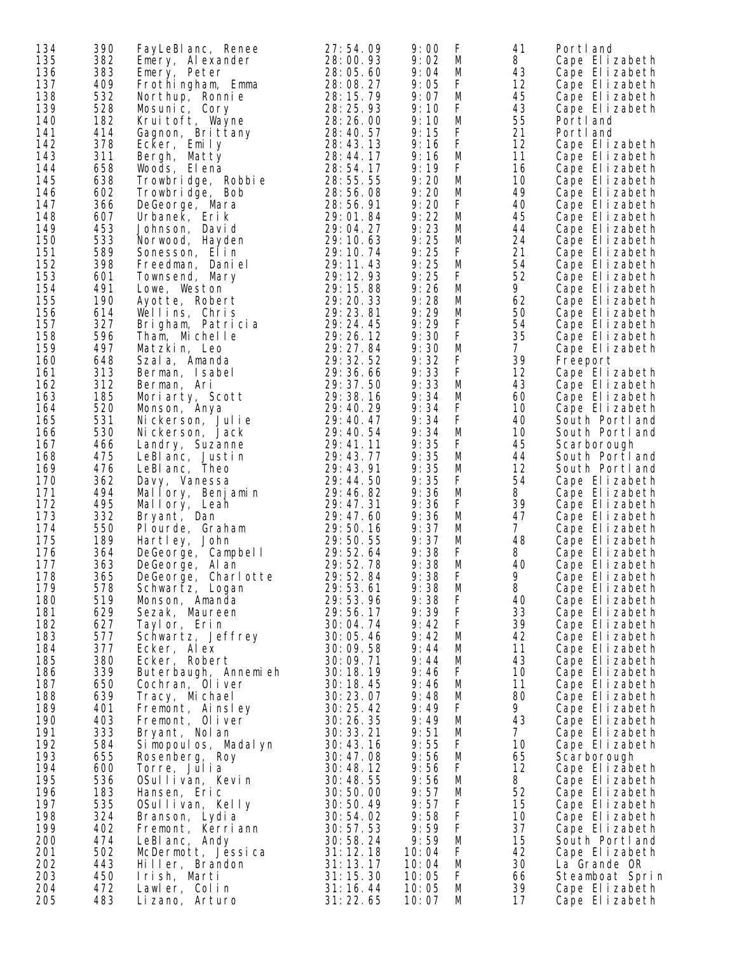| 134 | 390 | FayLeBI anc, Renee     | 27:54.09   | 9:00  | F | 41             | Portl and       |
|-----|-----|------------------------|------------|-------|---|----------------|-----------------|
| 135 | 382 |                        | 28:00.93   | 9:02  | M | 8              | Cape Elizabeth  |
|     |     | Emery, Alexander       |            |       |   |                |                 |
| 136 | 383 | Emery, Peter           | 28:05.60   | 9:04  | M | 43             | Cape Elizabeth  |
| 137 | 409 | Frothingham, Emma      | 28:08.27   | 9:05  | F | 12             | Cape Elizabeth  |
| 138 | 532 | Northup, Ronnie        | 28: 15. 79 | 9:07  | M | 45             | Cape Elizabeth  |
| 139 | 528 | Mosunic, Cory          | 28: 25. 93 | 9:10  | F | 43             | Cape Elizabeth  |
| 140 | 182 | Kruitoft, Wayne        | 28:26.00   | 9:10  | M | 55             | Portland        |
| 141 | 414 | Gagnon, Brittany       | 28:40.57   | 9:15  | F | 21             | Portl and       |
| 142 | 378 | Ecker, Emily           | 28:43.13   | 9:16  | F | 12             | Cape Elizabeth  |
| 143 | 311 | Bergh, Matty           | 28:44.17   | 9:16  | М | 11             | Cape Elizabeth  |
| 144 | 658 | Woods, El ena          | 28:54.17   | 9:19  | F | 16             | Cape Elizabeth  |
| 145 | 638 | Trowbridge, Robbie     | 28:55.55   | 9:20  | M | 10             | Cape Elizabeth  |
| 146 | 602 |                        | 28:56.08   | 9:20  | М | 49             | Cape Elizabeth  |
|     |     | Trowbridge, Bob        | 28:56.91   | 9:20  | F |                |                 |
| 147 | 366 | DeGeorge, Mara         |            |       |   | 40             | Cape Elizabeth  |
| 148 | 607 | Urbanek, Erik          | 29:01.84   | 9:22  | M | 45             | Cape Elizabeth  |
| 149 | 453 | Johnson, David         | 29:04.27   | 9:23  | М | 44             | Cape Elizabeth  |
| 150 | 533 | Norwood, Hayden        | 29:10.63   | 9:25  | M | 24             | Cape Elizabeth  |
| 151 | 589 | Sonesson, Elin         | 29:10.74   | 9:25  | F | 21             | Cape Elizabeth  |
| 152 | 398 | Freedman, Daniel       | 29: 11. 43 | 9:25  | M | 54             | Cape Elizabeth  |
| 153 | 601 | Townsend, Mary         | 29: 12. 93 | 9:25  | F | 52             | Cape Elizabeth  |
| 154 | 491 | Lowe, Weston           | 29:15.88   | 9:26  | M | 9              | Cape Elizabeth  |
| 155 | 190 | Ayotte, Robert         | 29: 20. 33 | 9:28  | М | 62             | Cape Elizabeth  |
| 156 | 614 | Wellins, Chris         | 29:23.81   | 9:29  | M | 50             | Cape Elizabeth  |
| 157 | 327 | Brigham, Patricia      | 29: 24. 45 | 9:29  | F | 54             | Cape Elizabeth  |
| 158 | 596 | Tham, Michelle         | 29:26.12   | 9:30  | F | 35             | Cape Elizabeth  |
| 159 | 497 | Matzkin, Leo           | 29: 27. 84 | 9:30  | M | 7 <sup>7</sup> | Cape Elizabeth  |
|     |     |                        |            |       | F | 39             |                 |
| 160 | 648 | Szala, Amanda          | 29: 32. 52 | 9:32  |   |                | Freeport        |
| 161 | 313 | Berman, Isabel         | 29:36.66   | 9:33  | F | 12             | Cape Elizabeth  |
| 162 | 312 | Berman, Ari            | 29:37.50   | 9:33  | M | 43             | Cape Elizabeth  |
| 163 | 185 | Moriarty, Scott        | 29:38.16   | 9:34  | M | 60             | Cape Elizabeth  |
| 164 | 520 | Monson, Anya           | 29:40.29   | 9:34  | F | 10             | Cape Elizabeth  |
| 165 | 531 | Nickerson, Julie       | 29:40.47   | 9:34  | F | 40             | South Portland  |
| 166 | 530 | Nickerson, Jack        | 29:40.54   | 9:34  | М | 10             | South Portland  |
| 167 | 466 | Landry, Suzanne        | 29:41.11   | 9:35  | F | 45             | Scarborough     |
| 168 | 475 | LeBlanc, Justin        | 29:43.77   | 9:35  | M | 44             | South Portland  |
| 169 | 476 | LeBI anc, Theo         | 29: 43. 91 | 9:35  | M | 12             | South Portland  |
| 170 | 362 | Davy, Vanessa          | 29:44.50   | 9:35  | F | 54             | Cape Elizabeth  |
| 171 | 494 | Mallory, Benjamin      | 29: 46. 82 | 9:36  | M | 8              | Cape Elizabeth  |
| 172 | 495 | Mallory, Leah          | 29: 47. 31 | 9:36  | F | 39             | Cape Elizabeth  |
| 173 | 332 | Bryant, Dan            | 29:47.60   | 9:36  | M | 47             | Cape Elizabeth  |
| 174 |     |                        |            |       |   | 7 <sup>1</sup> |                 |
|     | 550 | Plourde, Graham        | 29:50.16   | 9:37  | M |                | Cape Elizabeth  |
| 175 | 189 | Hartley, John          | 29:50.55   | 9:37  | М | 48             | Cape Elizabeth  |
| 176 | 364 | DeGeorge, Campbell     | 29:52.64   | 9:38  | F | 8              | Cape Elizabeth  |
| 177 | 363 | DeGeorge, Al an        | 29:52.78   | 9:38  | M | 40             | Cape Elizabeth  |
| 178 | 365 | DeGeorge, Charlotte    | 29:52.84   | 9:38  | F | 9              | Cape Elizabeth  |
| 179 | 578 | Schwartz, Logan        | 29:53.61   | 9:38  | M | 8              | Cape Elizabeth  |
| 180 | 519 | Monson, Amanda         | 29:53.96   | 9:38  | F | 40             | Cape Elizabeth  |
| 181 | 629 | Sezak, Maureen         | 29:56.17   | 9:39  | F | 33             | Cape Elizabeth  |
| 182 | 627 | Taylor, Erin           | 30:04.74   | 9:42  | F | 39             | Cape Elizabeth  |
| 183 | 577 | Schwartz, Jeffrey      | 30:05.46   | 9:42  | M | 42             | Cape Elizabeth  |
| 184 | 377 | Ecker, Alex            | 30:09.58   | 9:44  | М | 11             | Cape Elizabeth  |
| 185 | 380 | Ecker, Robert          | 30:09.71   | 9:44  | M | 43             | Cape Elizabeth  |
| 186 | 339 | Buterbaugh, Annemieh   | 30:18.19   | 9:46  | F | 10             | Cape Elizabeth  |
| 187 | 650 | Cochran, Oliver        | 30:18.45   | 9:46  | М | 11             | Cape Elizabeth  |
| 188 | 639 | Tracy, Michael         | 30: 23.07  | 9:48  | M | 80             | Cape Elizabeth  |
| 189 | 401 |                        | 30:25.42   | 9:49  | F | 9              | Cape Elizabeth  |
|     |     | Fremont, Ainsley       |            |       |   |                |                 |
| 190 | 403 | Fremont, Oliver        | 30: 26. 35 | 9:49  | M | 43             | Cape Elizabeth  |
| 191 | 333 | Bryant, Nolan          | 30:33.21   | 9:51  | M | 7 <sup>1</sup> | Cape Elizabeth  |
| 192 | 584 | Si mopoul os, Madal yn | 30:43.16   | 9:55  | F | 10             | Cape Elizabeth  |
| 193 | 655 | Rosenberg, Roy         | 30:47.08   | 9:56  | M | 65             | Scarborough     |
| 194 | 600 | Torre, Julia           | 30:48.12   | 9:56  | F | 12             | Cape Elizabeth  |
| 195 | 536 | OSullivan, Kevin       | 30:48.55   | 9:56  | M | 8              | Cape Elizabeth  |
| 196 | 183 | Hansen, Eric           | 30:50.00   | 9:57  | M | 52             | Cape Elizabeth  |
| 197 | 535 | OSullivan, Kelly       | 30:50.49   | 9:57  | F | 15             | Cape Elizabeth  |
| 198 | 324 | Branson, Lydia         | 30:54.02   | 9:58  | F | 10             | Cape Elizabeth  |
| 199 | 402 | Fremont, Kerriann      | 30: 57. 53 | 9:59  | F | 37             | Cape Elizabeth  |
| 200 | 474 | LeBI anc, Andy         | 30:58.24   | 9:59  | M | 15             | South Portland  |
| 201 | 502 | McDermott, Jessica     | 31:12.18   | 10:04 | F | 42             | Cape Elizabeth  |
| 202 | 443 |                        | 31:13.17   | 10:04 | М | 30             | La Grande OR    |
|     |     | Hiller, Brandon        |            |       |   |                |                 |
| 203 | 450 | Irish, Marti           | 31:15.30   | 10:05 | F | 66             | Steamboat Sprin |
| 204 | 472 | Lawler, Colin          | 31:16.44   | 10:05 | M | 39             | Cape Elizabeth  |
| 205 | 483 | Lizano, Arturo         | 31:22.65   | 10:07 | M | 17             | Cape Elizabeth  |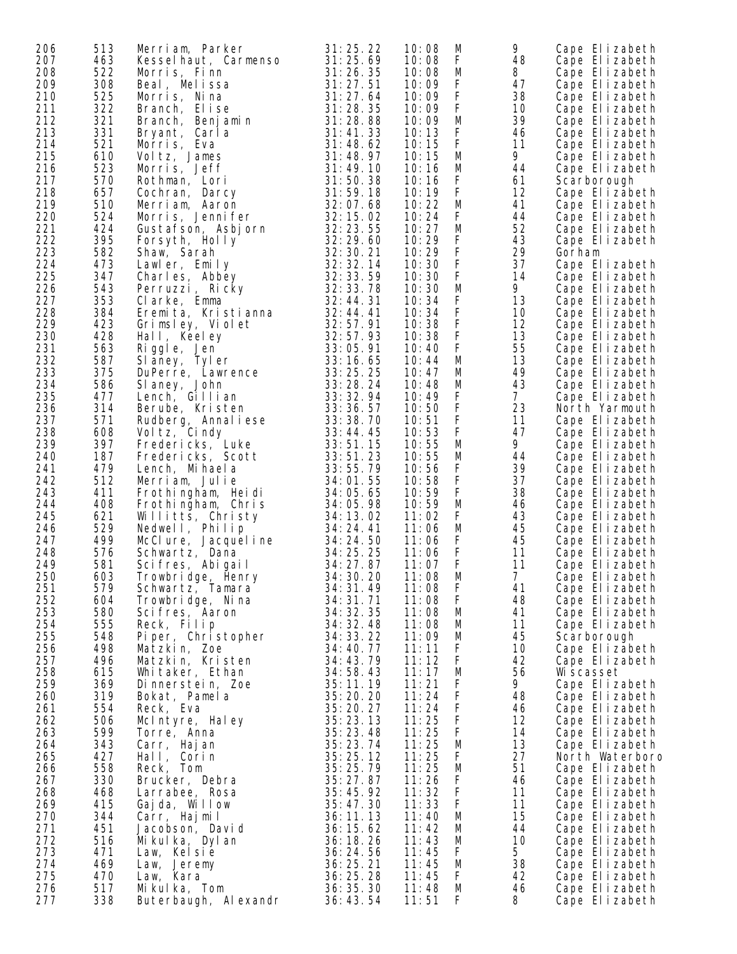| 206 | 513 | Merriam, Parker                                     | 31:25.22               | M<br>10:08 | 9              | Cape Elizabeth  |
|-----|-----|-----------------------------------------------------|------------------------|------------|----------------|-----------------|
| 207 | 463 | Kesselhaut, Carmenso                                | 31:25.69               | F<br>10:08 | 48             | Cape Elizabeth  |
| 208 | 522 | Morris, Finn                                        | 31: 26. 35             | М<br>10:08 | 8              | Cape Elizabeth  |
| 209 | 308 | Beal, Melissa                                       | 31:27.51               | F<br>10:09 | 47             | Cape Elizabeth  |
| 210 | 525 | Morris, Nina                                        | 31:27.64               | F<br>10:09 | 38             | Cape Elizabeth  |
| 211 | 322 | Branch, Elise                                       | 31:28.35               | F<br>10:09 | 10             | Cape Elizabeth  |
| 212 | 321 | Branch, Benjamin                                    | 31:28.88               | M<br>10:09 | 39             | Cape Elizabeth  |
| 213 | 331 | Bryant, Carla                                       | 31:41.33               | F<br>10:13 | 46             | Cape Elizabeth  |
| 214 | 521 | Morris, Eva                                         | 31:48.62               | F<br>10:15 | 11             | Cape Elizabeth  |
| 215 | 610 | Voltz, James                                        | 31:48.97               | M<br>10:15 | 9              | Cape Elizabeth  |
| 216 | 523 | Morris, Jeff                                        | 31:49.10               | 10:16<br>M | 44             | Cape Elizabeth  |
| 217 | 570 | Rothman, Lori                                       | 31:50.38               | F<br>10:16 | 61             | Scarborough     |
| 218 | 657 | Cochran, Darcy                                      | 31:59.18               | F<br>10:19 | 12             | Cape Elizabeth  |
| 219 | 510 | Merriam, Aaron                                      | 32:07.68               | 10:22<br>M | 41             | Cape Elizabeth  |
| 220 | 524 | Morris, Jennifer                                    | 32: 15. 02             | F<br>10:24 | 44             | Cape Elizabeth  |
| 221 | 424 |                                                     | 32:23.55               | M<br>10:27 | 52             | Cape Elizabeth  |
| 222 | 395 |                                                     | 32:29.60               | F<br>10:29 | 43             | Cape Elizabeth  |
| 223 | 582 | Gustafson, Asbjorn<br>Forsyth, Holly<br>Shaw, Sarah | 32: 30. 21             | F<br>10:29 | 29             | Gorham          |
| 224 | 473 | Lawler, Emily                                       | 32: 32. 14             | F<br>10:30 | 37             | Cape Elizabeth  |
| 225 | 347 | Charles, Abbey                                      | 32: 33. 59             | F<br>10:30 | 14             | Cape Elizabeth  |
| 226 | 543 | Perruzzi, Ricky                                     | 32: 33. 78             | M<br>10:30 | 9              | Cape Elizabeth  |
| 227 | 353 | Clarke, Emma                                        | 32:44.31               | F<br>10:34 | 13             | Cape Elizabeth  |
| 228 | 384 | Eremita, Kristianna                                 | 32:44.41               | F<br>10:34 | 10             | Cape Elizabeth  |
| 229 | 423 |                                                     | 32:57.91               | F<br>10:38 | 12             |                 |
| 230 | 428 | Grimsley, Violet                                    | 32:57.93               | F<br>10:38 | 13             | Cape Elizabeth  |
| 231 |     | Hall, Keeley                                        | 33:05.91               | F          |                | Cape Elizabeth  |
|     | 563 | Riggle, Jen                                         |                        | 10:40      | 55             | Cape Elizabeth  |
| 232 | 587 | Slaney, Tyler                                       | 33:16.65               | М<br>10:44 | 13             | Cape Elizabeth  |
| 233 | 375 | Slaney, Tyler<br>DuPerre, Lawrence<br>Slaney, John  | 33:25.25               | M<br>10:47 | 49             | Cape Elizabeth  |
| 234 | 586 | SI aney, John                                       | 33:28.24               | M<br>10:48 | 43             | Cape Elizabeth  |
| 235 | 477 | Lench, Gillian                                      | 33: 32. 94             | F<br>10:49 | 7 <sup>7</sup> | Cape Elizabeth  |
| 236 | 314 | Berube, Kristen                                     | 33:36.57               | F<br>10:50 | 23             | North Yarmouth  |
| 237 | 571 | Rudberg, Annaliese                                  | 33:38.70               | F<br>10:51 | 11             | Cape Elizabeth  |
| 238 | 608 | Vol tz, Cindy                                       | 33:44.45               | F<br>10:53 | 47             | Cape Elizabeth  |
| 239 | 397 | Fredericks, Luke                                    | 33:51.15               | M<br>10:55 | 9              | Cape Elizabeth  |
| 240 | 187 | Fredericks, Scott                                   | 33:51.23               | M<br>10:55 | 44             | Cape Elizabeth  |
| 241 | 479 | Lench, Mihaela                                      | 33:55.79               | F<br>10:56 | 39             | Cape Elizabeth  |
| 242 | 512 | Merriam, Julie                                      | 34:01.55               | F<br>10:58 | 37             | Cape Elizabeth  |
| 243 | 411 | Frothingham, Heidi                                  | 34:05.65               | F<br>10:59 | 38             | Cape Elizabeth  |
| 244 | 408 | Frothingham, Chris                                  | 34:05.98               | M<br>10:59 | 46             | Cape Elizabeth  |
| 245 | 621 | Willitts, Christy                                   | 34: 13. 02             | F<br>11:02 | 43             | Cape Elizabeth  |
| 246 | 529 | Nedwell, Philip                                     | 34: 24. 41             | М<br>11:06 | 45             | Cape Elizabeth  |
| 247 | 499 | McClure, Jacquel i ne                               | 34: 24. 50<br>34:25.25 | F<br>11:06 | 45             | Cape Elizabeth  |
| 248 | 576 | Schwartz, Dana                                      |                        | F<br>11:06 | 11<br>11       | Cape Elizabeth  |
| 249 | 581 | Scifres, Abigail                                    | 34: 27. 87             | F<br>11:07 |                | Cape Elizabeth  |
| 250 | 603 | Trowbridge, Henry<br>Schwartz, Tamara               | 34: 30. 20             | M<br>11:08 | $7^{\circ}$    | Cape Elizabeth  |
| 251 | 579 |                                                     | 34: 31.49              | 11:08<br>F | 41             | Cape Elizabeth  |
| 252 | 604 | Trowbridge, Nina                                    | 34: 31. 71             | 11:08<br>F | 48             | Cape Elizabeth  |
| 253 | 580 | Scifres, Aaron                                      | 34: 32. 35             | M<br>11:08 | 41             | Cape Elizabeth  |
| 254 | 555 | Reck, Filip                                         | 34: 32. 48             | 11:08<br>M | 11             | Cape Elizabeth  |
| 255 | 548 | Piper, Christopher                                  | 34: 33. 22             | 11:09<br>М | 45             | Scarborough     |
| 256 | 498 | Matzkin, Zoe                                        | 34:40.77               | F<br>11:11 | 10             | Cape Elizabeth  |
| 257 | 496 | Matzkin, Kristen                                    | 34:43.79               | 11:12<br>F | 42             | Cape Elizabeth  |
| 258 | 615 | Whitaker, Ethan                                     | 34:58.43               | 11:17<br>M | 56             | Wi scasset      |
| 259 | 369 | Dinnerstein, Zoe                                    | 35:11.19               | F<br>11:21 | 9              | Cape Elizabeth  |
| 260 | 319 | Bokat, Pamela                                       | 35: 20. 20             | F<br>11:24 | 48             | Cape Elizabeth  |
| 261 | 554 | Reck, Eva                                           | 35:20.27               | F<br>11:24 | 46             | Cape Elizabeth  |
| 262 | 506 | McIntyre, Haley                                     | 35:23.13               | F<br>11:25 | 12             | Cape Elizabeth  |
| 263 | 599 | Torre, Anna                                         | 35:23.48               | 11:25<br>F | 14             | Cape Elizabeth  |
| 264 | 343 | Carr, Hajan                                         | 35:23.74               | 11:25<br>M | 13             | Cape Elizabeth  |
| 265 | 427 | Hall, Corin                                         | 35:25.12               | 11:25<br>F | 27             | North Waterboro |
| 266 | 558 | Reck, Tom                                           | 35:25.79               | 11:25<br>M | 51             | Cape Elizabeth  |
| 267 | 330 | Brucker, Debra                                      | 35:27.87               | F<br>11:26 | 46             | Cape Elizabeth  |
| 268 | 468 | Larrabee, Rosa                                      | 35:45.92               | 11:32<br>F | 11             | Cape Elizabeth  |
| 269 | 415 | Gajda, Willow                                       | 35:47.30               | 11:33<br>F | 11             | Cape Elizabeth  |
| 270 | 344 | Carr, Hajmil                                        | 36:11.13               | M<br>11:40 | 15             | Cape Elizabeth  |
| 271 | 451 | Jacobson, David                                     | 36:15.62               | 11:42<br>M | 44             | Cape Elizabeth  |
| 272 | 516 | Mikulka, Dylan                                      | 36: 18. 26             | 11:43<br>M | 10             | Cape Elizabeth  |
| 273 | 471 | Law, Kelsie                                         | 36:24.56               | F<br>11:45 | 5 <sup>1</sup> | Cape Elizabeth  |
| 274 | 469 | Law, Jeremy                                         | 36:25.21               | M<br>11:45 | 38             | Cape Elizabeth  |
| 275 | 470 | Law, Kara                                           | 36: 25. 28             | 11:45<br>F | 42             | Cape Elizabeth  |
| 276 | 517 | Mikulka, Tom                                        | 36: 35. 30             | 11:48<br>M | 46             | Cape Elizabeth  |
| 277 | 338 | Buterbaugh, Alexandr                                | 36:43.54               | 11:51<br>F | 8              | Cape Elizabeth  |